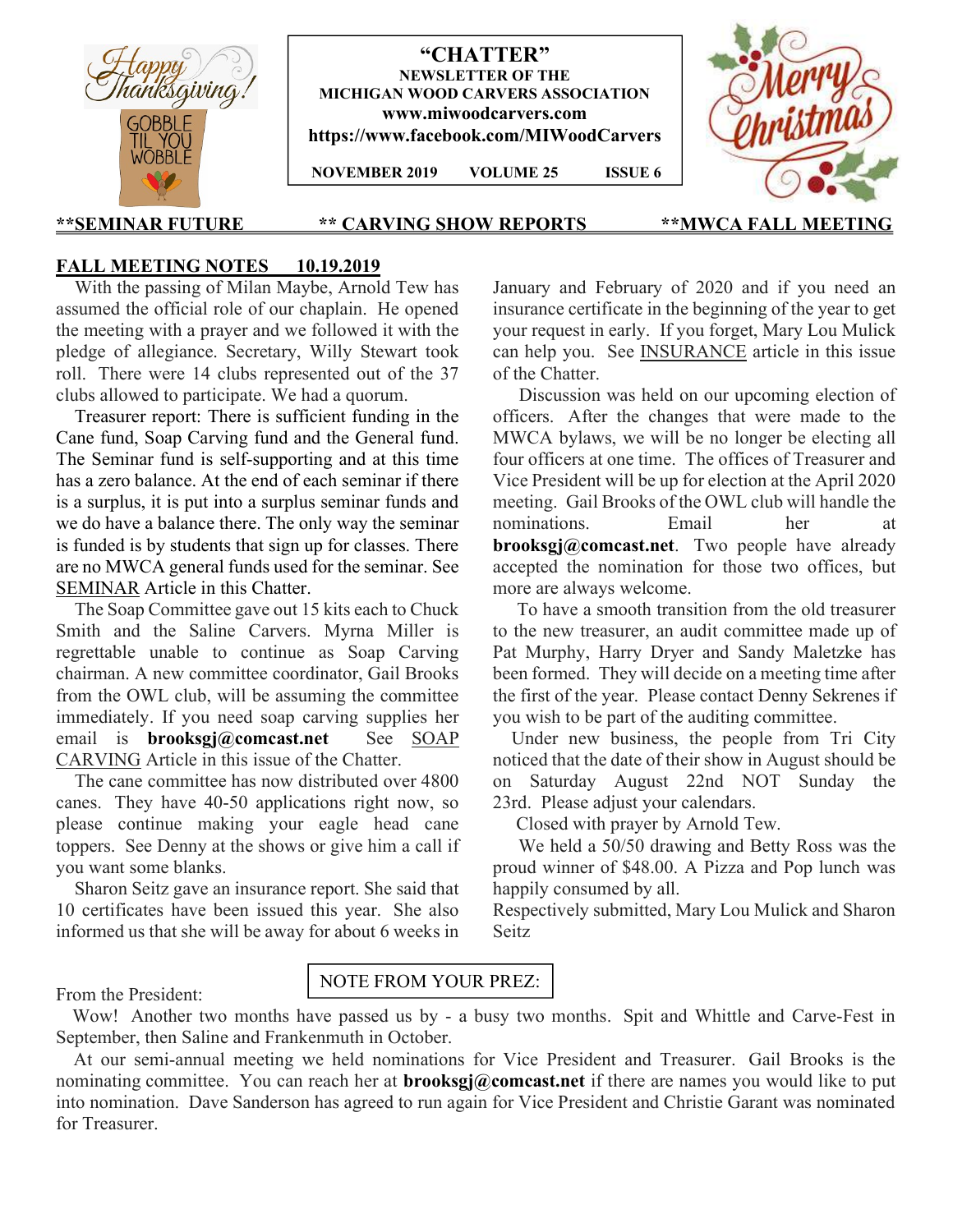

"CHATTER" NEWSLETTER OF THE MICHIGAN WOOD CARVERS ASSOCIATION www.miwoodcarvers.com https://www.facebook.com/MIWoodCarvers

NOVEMBER 2019 VOLUME 25 ISSUE 6



### \*\*SEMINAR FUTURE \*\* CARVING SHOW REPORTS \*\*MWCA FALL MEETING

## FALL MEETING NOTES 10.19.2019

 With the passing of Milan Maybe, Arnold Tew has assumed the official role of our chaplain. He opened the meeting with a prayer and we followed it with the pledge of allegiance. Secretary, Willy Stewart took roll. There were 14 clubs represented out of the 37 clubs allowed to participate. We had a quorum.

 Treasurer report: There is sufficient funding in the Cane fund, Soap Carving fund and the General fund. The Seminar fund is self-supporting and at this time has a zero balance. At the end of each seminar if there is a surplus, it is put into a surplus seminar funds and we do have a balance there. The only way the seminar is funded is by students that sign up for classes. There are no MWCA general funds used for the seminar. See SEMINAR Article in this Chatter.

 The Soap Committee gave out 15 kits each to Chuck Smith and the Saline Carvers. Myrna Miller is regrettable unable to continue as Soap Carving chairman. A new committee coordinator, Gail Brooks from the OWL club, will be assuming the committee immediately. If you need soap carving supplies her email is **brooksgj@comcast.net** See SOAP CARVING Article in this issue of the Chatter.

 The cane committee has now distributed over 4800 canes. They have 40-50 applications right now, so please continue making your eagle head cane toppers. See Denny at the shows or give him a call if you want some blanks.

 Sharon Seitz gave an insurance report. She said that 10 certificates have been issued this year. She also informed us that she will be away for about 6 weeks in January and February of 2020 and if you need an insurance certificate in the beginning of the year to get your request in early. If you forget, Mary Lou Mulick can help you. See INSURANCE article in this issue of the Chatter.

 Discussion was held on our upcoming election of officers. After the changes that were made to the MWCA bylaws, we will be no longer be electing all four officers at one time. The offices of Treasurer and Vice President will be up for election at the April 2020 meeting. Gail Brooks of the OWL club will handle the nominations. Email her at brooksgj@comcast.net. Two people have already accepted the nomination for those two offices, but more are always welcome.

 To have a smooth transition from the old treasurer to the new treasurer, an audit committee made up of Pat Murphy, Harry Dryer and Sandy Maletzke has been formed. They will decide on a meeting time after the first of the year. Please contact Denny Sekrenes if you wish to be part of the auditing committee.

 Under new business, the people from Tri City noticed that the date of their show in August should be on Saturday August 22nd NOT Sunday the 23rd. Please adjust your calendars.

Closed with prayer by Arnold Tew.

 We held a 50/50 drawing and Betty Ross was the proud winner of \$48.00. A Pizza and Pop lunch was happily consumed by all.

Respectively submitted, Mary Lou Mulick and Sharon Seitz

## From the President:

## NOTE FROM YOUR PREZ:

 Wow! Another two months have passed us by - a busy two months. Spit and Whittle and Carve-Fest in September, then Saline and Frankenmuth in October.

 At our semi-annual meeting we held nominations for Vice President and Treasurer. Gail Brooks is the nominating committee. You can reach her at **brooksgj@comcast.net** if there are names you would like to put into nomination. Dave Sanderson has agreed to run again for Vice President and Christie Garant was nominated for Treasurer.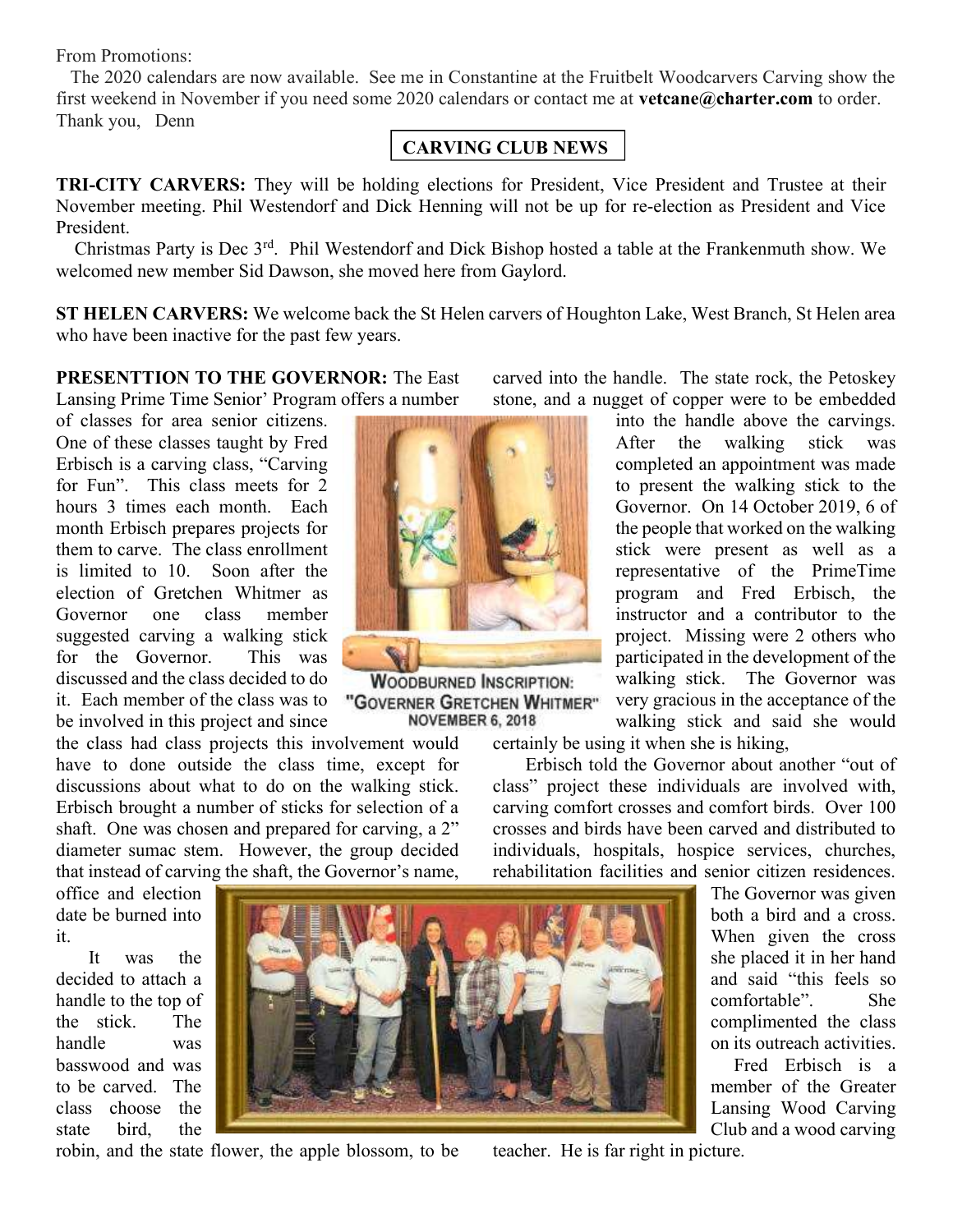From Promotions:

 The 2020 calendars are now available. See me in Constantine at the Fruitbelt Woodcarvers Carving show the first weekend in November if you need some 2020 calendars or contact me at vetcane@charter.com to order. Thank you, Denn

## CARVING CLUB NEWS

TRI-CITY CARVERS: They will be holding elections for President, Vice President and Trustee at their November meeting. Phil Westendorf and Dick Henning will not be up for re-election as President and Vice President.

 Christmas Party is Dec 3rd. Phil Westendorf and Dick Bishop hosted a table at the Frankenmuth show. We welcomed new member Sid Dawson, she moved here from Gaylord.

ST HELEN CARVERS: We welcome back the St Helen carvers of Houghton Lake, West Branch, St Helen area who have been inactive for the past few years.

PRESENTTION TO THE GOVERNOR: The East Lansing Prime Time Senior' Program offers a number

of classes for area senior citizens. One of these classes taught by Fred Erbisch is a carving class, "Carving for Fun". This class meets for 2 hours 3 times each month. Each month Erbisch prepares projects for them to carve. The class enrollment is limited to 10. Soon after the election of Gretchen Whitmer as Governor one class member suggested carving a walking stick for the Governor. This was discussed and the class decided to do it. Each member of the class was to be involved in this project and since

the class had class projects this involvement would have to done outside the class time, except for discussions about what to do on the walking stick. Erbisch brought a number of sticks for selection of a shaft. One was chosen and prepared for carving, a 2" diameter sumac stem. However, the group decided that instead of carving the shaft, the Governor's name,



**WOODBURNED INSCRIPTION:** "GOVERNER GRETCHEN WHITMER" **NOVEMBER 6, 2018** 

carved into the handle. The state rock, the Petoskey stone, and a nugget of copper were to be embedded

> into the handle above the carvings. After the walking stick was completed an appointment was made to present the walking stick to the Governor. On 14 October 2019, 6 of the people that worked on the walking stick were present as well as a representative of the PrimeTime program and Fred Erbisch, the instructor and a contributor to the project. Missing were 2 others who participated in the development of the walking stick. The Governor was very gracious in the acceptance of the walking stick and said she would

certainly be using it when she is hiking,

 Erbisch told the Governor about another "out of class" project these individuals are involved with, carving comfort crosses and comfort birds. Over 100 crosses and birds have been carved and distributed to individuals, hospitals, hospice services, churches, rehabilitation facilities and senior citizen residences.

office and election date be burned into it.

 It was the decided to attach a handle to the top of the stick. The handle was basswood and was to be carved. The class choose the state bird, the



robin, and the state flower, the apple blossom, to be

teacher. He is far right in picture.

The Governor was given both a bird and a cross. When given the cross she placed it in her hand and said "this feels so comfortable". She complimented the class on its outreach activities.

 Fred Erbisch is a member of the Greater Lansing Wood Carving Club and a wood carving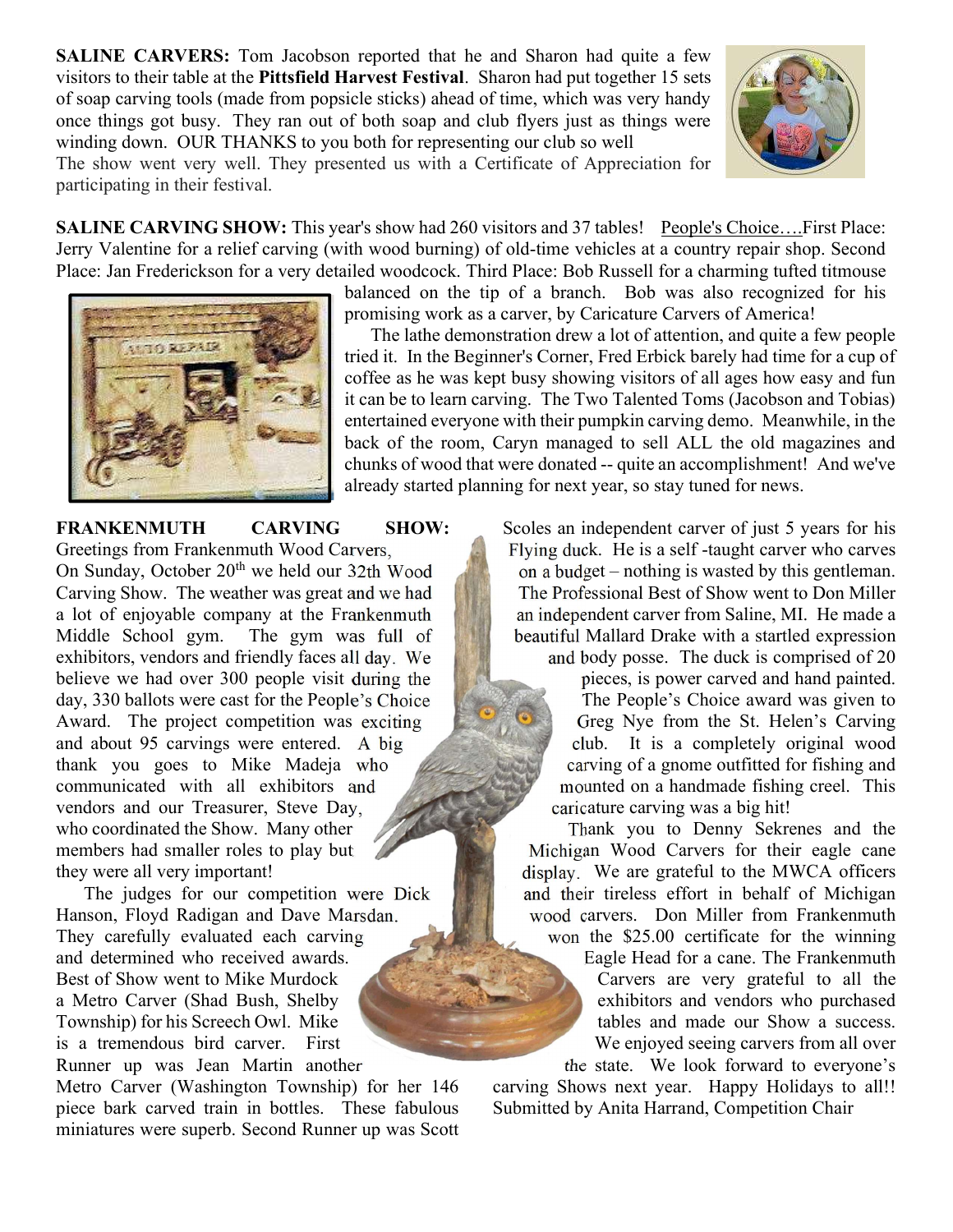SALINE CARVERS: Tom Jacobson reported that he and Sharon had quite a few visitors to their table at the Pittsfield Harvest Festival. Sharon had put together 15 sets of soap carving tools (made from popsicle sticks) ahead of time, which was very handy once things got busy. They ran out of both soap and club flyers just as things were winding down. OUR THANKS to you both for representing our club so well The show went very well. They presented us with a Certificate of Appreciation for participating in their festival.



SALINE CARVING SHOW: This year's show had 260 visitors and 37 tables! People's Choice….First Place: Jerry Valentine for a relief carving (with wood burning) of old-time vehicles at a country repair shop. Second Place: Jan Frederickson for a very detailed woodcock. Third Place: Bob Russell for a charming tufted titmouse



balanced on the tip of a branch. Bob was also recognized for his promising work as a carver, by Caricature Carvers of America!

 The lathe demonstration drew a lot of attention, and quite a few people tried it. In the Beginner's Corner, Fred Erbick barely had time for a cup of coffee as he was kept busy showing visitors of all ages how easy and fun it can be to learn carving. The Two Talented Toms (Jacobson and Tobias) entertained everyone with their pumpkin carving demo. Meanwhile, in the back of the room, Caryn managed to sell ALL the old magazines and chunks of wood that were donated -- quite an accomplishment! And we've already started planning for next year, so stay tuned for news.

FRANKENMUTH CARVING SHOW: Greetings from Frankenmuth Wood Carvers, On Sunday, October 20<sup>th</sup> we held our 32th Wood Carving Show. The weather was great and we had a lot of enjoyable company at the Frankenmuth Middle School gym. The gym was full of exhibitors, vendors and friendly faces all day. We believe we had over 300 people visit during the day, 330 ballots were cast for the People's Choice Award. The project competition was exciting and about 95 carvings were entered. A big thank you goes to Mike Madeja who communicated with all exhibitors and vendors and our Treasurer, Steve Day, who coordinated the Show. Many other members had smaller roles to play but they were all very important!

 The judges for our competition were Dick Hanson, Floyd Radigan and Dave Marsdan. They carefully evaluated each carving and determined who received awards. Best of Show went to Mike Murdock a Metro Carver (Shad Bush, Shelby Township) for his Screech Owl. Mike is a tremendous bird carver. First Runner up was Jean Martin another

Metro Carver (Washington Township) for her 146 piece bark carved train in bottles. These fabulous miniatures were superb. Second Runner up was Scott Scoles an independent carver of just 5 years for his Flying duck. He is a self -taught carver who carves on a budget – nothing is wasted by this gentleman. The Professional Best of Show went to Don Miller an independent carver from Saline, MI. He made a beautiful Mallard Drake with a startled expression and body posse. The duck is comprised of 20

pieces, is power carved and hand painted. The People's Choice award was given to Greg Nye from the St. Helen's Carving club. It is a completely original wood carving of a gnome outfitted for fishing and mounted on a handmade fishing creel. This caricature carving was a big hit!

 Thank you to Denny Sekrenes and the Michigan Wood Carvers for their eagle cane display. We are grateful to the MWCA officers and their tireless effort in behalf of Michigan wood carvers. Don Miller from Frankenmuth

won the \$25.00 certificate for the winning Eagle Head for a cane. The Frankenmuth Carvers are very grateful to all the exhibitors and vendors who purchased tables and made our Show a success. We enjoyed seeing carvers from all over the state. We look forward to everyone's

carving Shows next year. Happy Holidays to all!! Submitted by Anita Harrand, Competition Chair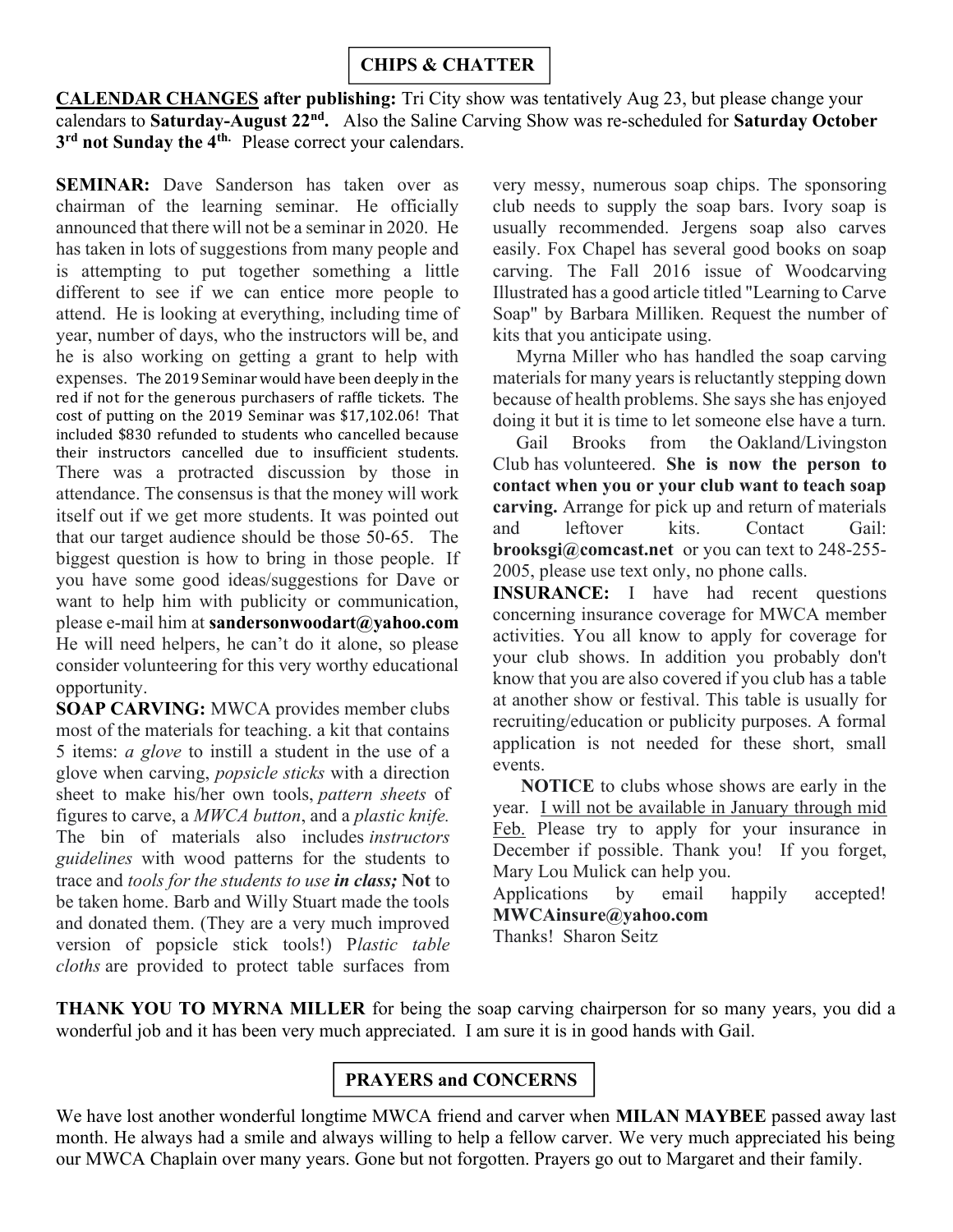# CHIPS & CHATTER

CALENDAR CHANGES after publishing: Tri City show was tentatively Aug 23, but please change your calendars to Saturday-August 22<sup>nd</sup>. Also the Saline Carving Show was re-scheduled for Saturday October 3<sup>rd</sup> not Sunday the 4<sup>th.</sup> Please correct your calendars.

SEMINAR: Dave Sanderson has taken over as chairman of the learning seminar. He officially announced that there will not be a seminar in 2020. He has taken in lots of suggestions from many people and is attempting to put together something a little different to see if we can entice more people to attend. He is looking at everything, including time of year, number of days, who the instructors will be, and he is also working on getting a grant to help with expenses. The 2019 Seminar would have been deeply in the red if not for the generous purchasers of raffle tickets. The cost of putting on the 2019 Seminar was \$17,102.06! That included \$830 refunded to students who cancelled because their instructors cancelled due to insufficient students. There was a protracted discussion by those in attendance. The consensus is that the money will work itself out if we get more students. It was pointed out that our target audience should be those 50-65. The biggest question is how to bring in those people. If you have some good ideas/suggestions for Dave or want to help him with publicity or communication, please e-mail him at sandersonwoodart@yahoo.com He will need helpers, he can't do it alone, so please consider volunteering for this very worthy educational opportunity.

SOAP CARVING: MWCA provides member clubs most of the materials for teaching. a kit that contains 5 items: a glove to instill a student in the use of a glove when carving, popsicle sticks with a direction sheet to make his/her own tools, pattern sheets of figures to carve, a MWCA button, and a plastic knife. The bin of materials also includes instructors guidelines with wood patterns for the students to trace and tools for the students to use in class; Not to be taken home. Barb and Willy Stuart made the tools and donated them. (They are a very much improved version of popsicle stick tools!) Plastic table cloths are provided to protect table surfaces from

very messy, numerous soap chips. The sponsoring club needs to supply the soap bars. Ivory soap is usually recommended. Jergens soap also carves easily. Fox Chapel has several good books on soap carving. The Fall 2016 issue of Woodcarving Illustrated has a good article titled "Learning to Carve Soap" by Barbara Milliken. Request the number of kits that you anticipate using.

 Myrna Miller who has handled the soap carving materials for many years is reluctantly stepping down because of health problems. She says she has enjoyed doing it but it is time to let someone else have a turn.

 Gail Brooks from the Oakland/Livingston Club has volunteered. She is now the person to contact when you or your club want to teach soap carving. Arrange for pick up and return of materials and leftover kits. Contact Gail: brooksgi@comcast.net or you can text to 248-255- 2005, please use text only, no phone calls.

INSURANCE: I have had recent questions concerning insurance coverage for MWCA member activities. You all know to apply for coverage for your club shows. In addition you probably don't know that you are also covered if you club has a table at another show or festival. This table is usually for recruiting/education or publicity purposes. A formal application is not needed for these short, small events.

 NOTICE to clubs whose shows are early in the year. I will not be available in January through mid Feb. Please try to apply for your insurance in December if possible. Thank you! If you forget, Mary Lou Mulick can help you.

Applications by email happily accepted! MWCAinsure@yahoo.com

Thanks! Sharon Seitz

THANK YOU TO MYRNA MILLER for being the soap carving chairperson for so many years, you did a wonderful job and it has been very much appreciated. I am sure it is in good hands with Gail.

# PRAYERS and CONCERNS

We have lost another wonderful longtime MWCA friend and carver when **MILAN MAYBEE** passed away last month. He always had a smile and always willing to help a fellow carver. We very much appreciated his being our MWCA Chaplain over many years. Gone but not forgotten. Prayers go out to Margaret and their family.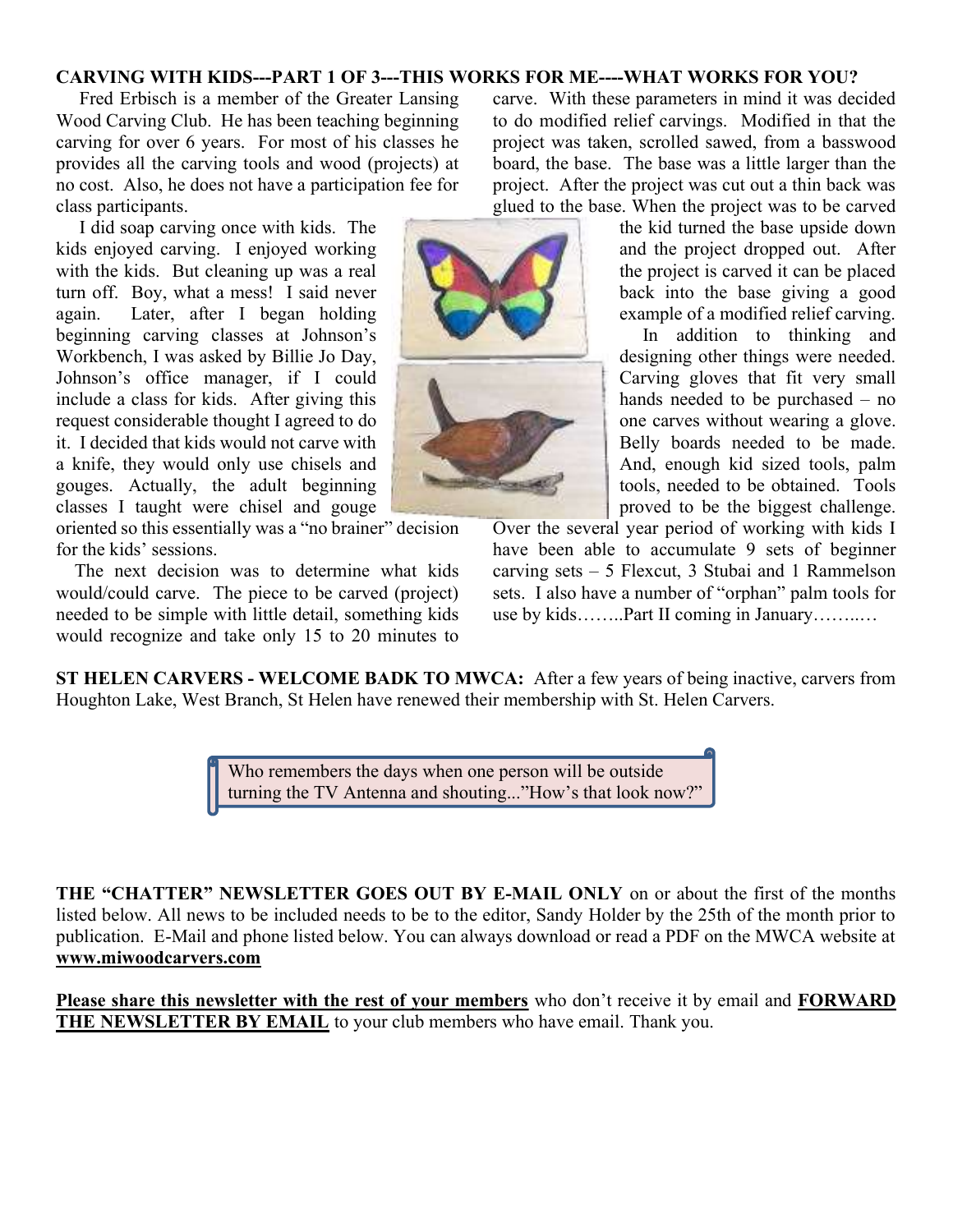## CARVING WITH KIDS---PART 1 OF 3---THIS WORKS FOR ME----WHAT WORKS FOR YOU?

 Fred Erbisch is a member of the Greater Lansing Wood Carving Club. He has been teaching beginning carving for over 6 years. For most of his classes he provides all the carving tools and wood (projects) at no cost. Also, he does not have a participation fee for class participants.

 I did soap carving once with kids. The kids enjoyed carving. I enjoyed working with the kids. But cleaning up was a real turn off. Boy, what a mess! I said never again. Later, after I began holding beginning carving classes at Johnson's Workbench, I was asked by Billie Jo Day, Johnson's office manager, if I could include a class for kids. After giving this request considerable thought I agreed to do it. I decided that kids would not carve with a knife, they would only use chisels and gouges. Actually, the adult beginning classes I taught were chisel and gouge

oriented so this essentially was a "no brainer" decision for the kids' sessions.

 The next decision was to determine what kids would/could carve. The piece to be carved (project) needed to be simple with little detail, something kids would recognize and take only 15 to 20 minutes to

carve. With these parameters in mind it was decided to do modified relief carvings. Modified in that the project was taken, scrolled sawed, from a basswood board, the base. The base was a little larger than the project. After the project was cut out a thin back was glued to the base. When the project was to be carved

> the kid turned the base upside down and the project dropped out. After the project is carved it can be placed back into the base giving a good example of a modified relief carving.

> In addition to thinking and designing other things were needed. Carving gloves that fit very small hands needed to be purchased – no one carves without wearing a glove. Belly boards needed to be made. And, enough kid sized tools, palm tools, needed to be obtained. Tools proved to be the biggest challenge.

Over the several year period of working with kids I have been able to accumulate 9 sets of beginner carving sets – 5 Flexcut, 3 Stubai and 1 Rammelson sets. I also have a number of "orphan" palm tools for use by kids……..Part II coming in January……..…

ST HELEN CARVERS - WELCOME BADK TO MWCA: After a few years of being inactive, carvers from Houghton Lake, West Branch, St Helen have renewed their membership with St. Helen Carvers.

> Who remembers the days when one person will be outside turning the TV Antenna and shouting..."How's that look now?"

THE "CHATTER" NEWSLETTER GOES OUT BY E-MAIL ONLY on or about the first of the months listed below. All news to be included needs to be to the editor, Sandy Holder by the 25th of the month prior to publication. E-Mail and phone listed below. You can always download or read a PDF on the MWCA website at www.miwoodcarvers.com

Please share this newsletter with the rest of your members who don't receive it by email and FORWARD THE NEWSLETTER BY EMAIL to your club members who have email. Thank you.